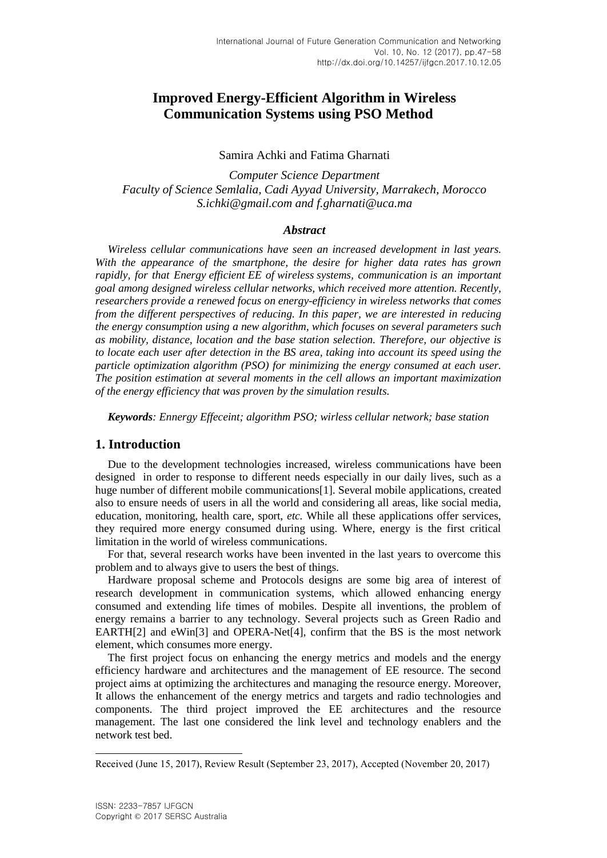# **Improved Energy-Efficient Algorithm in Wireless Communication Systems using PSO Method**

### Samira Achki and Fatima Gharnati

*Computer Science Department Faculty of Science Semlalia, Cadi Ayyad University, Marrakech, Morocco S.ichki@gmail.com and [f.gharnati@uca.ma](mailto:f.gharnati@uca.ma)*

### *Abstract*

*Wireless cellular communications have seen an increased development in last years. With the appearance of the smartphone, the desire for higher data rates has grown rapidly, for that Energy efficient EE of wireless systems, communication is an important goal among designed wireless cellular networks, which received more attention. Recently, researchers provide a renewed focus on energy-efficiency in wireless networks that comes from the different perspectives of reducing. In this paper, we are interested in reducing the energy consumption using a new algorithm, which focuses on several parameters such as mobility, distance, location and the base station selection. Therefore, our objective is to locate each user after detection in the BS area, taking into account its speed using the particle optimization algorithm (PSO) for minimizing the energy consumed at each user. The position estimation at several moments in the cell allows an important maximization of the energy efficiency that was proven by the simulation results.*

*Keywords: Ennergy Effeceint; algorithm PSO; wirless cellular network; base station*

### **1. Introduction**

Due to the development technologies increased, wireless communications have been designed in order to response to different needs especially in our daily lives, such as a huge number of different mobile communications[1]. Several mobile applications, created also to ensure needs of users in all the world and considering all areas, like social media, education, monitoring, health care, sport, *etc.* While all these applications offer services, they required more energy consumed during using. Where, energy is the first critical limitation in the world of wireless communications.

For that, several research works have been invented in the last years to overcome this problem and to always give to users the best of things.

Hardware proposal scheme and Protocols designs are some big area of interest of research development in communication systems, which allowed enhancing energy consumed and extending life times of mobiles. Despite all inventions, the problem of energy remains a barrier to any technology. Several projects such as Green Radio and EARTH[2] and eWin[3] and OPERA-Net[4], confirm that the BS is the most network element, which consumes more energy.

The first project focus on enhancing the energy metrics and models and the energy efficiency hardware and architectures and the management of EE resource. The second project aims at optimizing the architectures and managing the resource energy. Moreover, It allows the enhancement of the energy metrics and targets and radio technologies and components. The third project improved the EE architectures and the resource management. The last one considered the link level and technology enablers and the network test bed.

l

Received (June 15, 2017), Review Result (September 23, 2017), Accepted (November 20, 2017)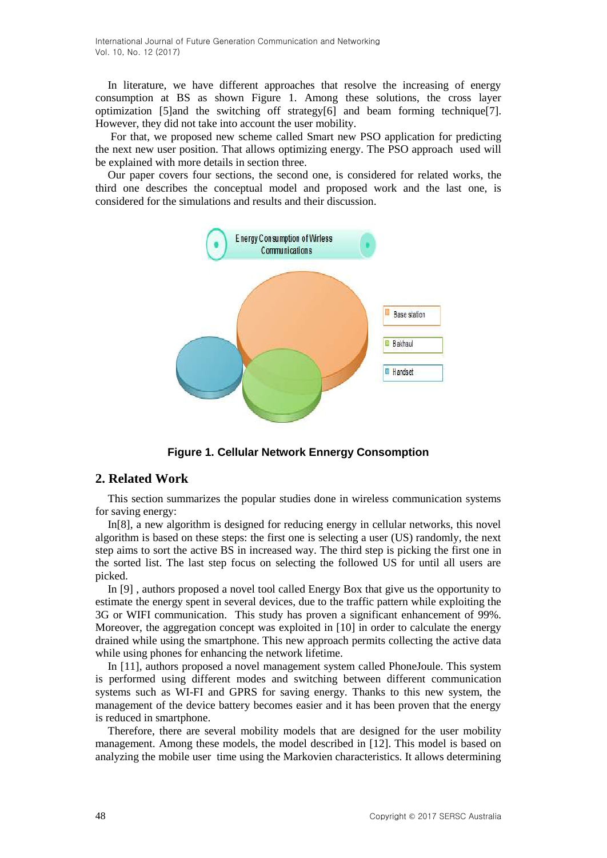In literature, we have different approaches that resolve the increasing of energy consumption at BS as shown Figure 1. Among these solutions, the cross layer optimization [5] and the switching off strategy<sup>[6]</sup> and beam forming technique [7]. However, they did not take into account the user mobility.

For that, we proposed new scheme called Smart new PSO application for predicting the next new user position. That allows optimizing energy. The PSO approach used will be explained with more details in section three.

Our paper covers four sections, the second one, is considered for related works, the third one describes the conceptual model and proposed work and the last one, is considered for the simulations and results and their discussion.



**Figure 1. Cellular Network Ennergy Consomption** 

### **2. Related Work**

This section summarizes the popular studies done in wireless communication systems for saving energy:

In[8], a new algorithm is designed for reducing energy in cellular networks, this novel algorithm is based on these steps: the first one is selecting a user (US) randomly, the next step aims to sort the active BS in increased way. The third step is picking the first one in the sorted list. The last step focus on selecting the followed US for until all users are picked.

In [9] , authors proposed a novel tool called Energy Box that give us the opportunity to estimate the energy spent in several devices, due to the traffic pattern while exploiting the 3G or WIFI communication. This study has proven a significant enhancement of 99%. Moreover, the aggregation concept was exploited in [10] in order to calculate the energy drained while using the smartphone. This new approach permits collecting the active data while using phones for enhancing the network lifetime.

In [11], authors proposed a novel management system called PhoneJoule. This system is performed using different modes and switching between different communication systems such as WI-FI and GPRS for saving energy. Thanks to this new system, the management of the device battery becomes easier and it has been proven that the energy is reduced in smartphone.

Therefore, there are several mobility models that are designed for the user mobility management. Among these models, the model described in [12]. This model is based on analyzing the mobile user time using the Markovien characteristics. It allows determining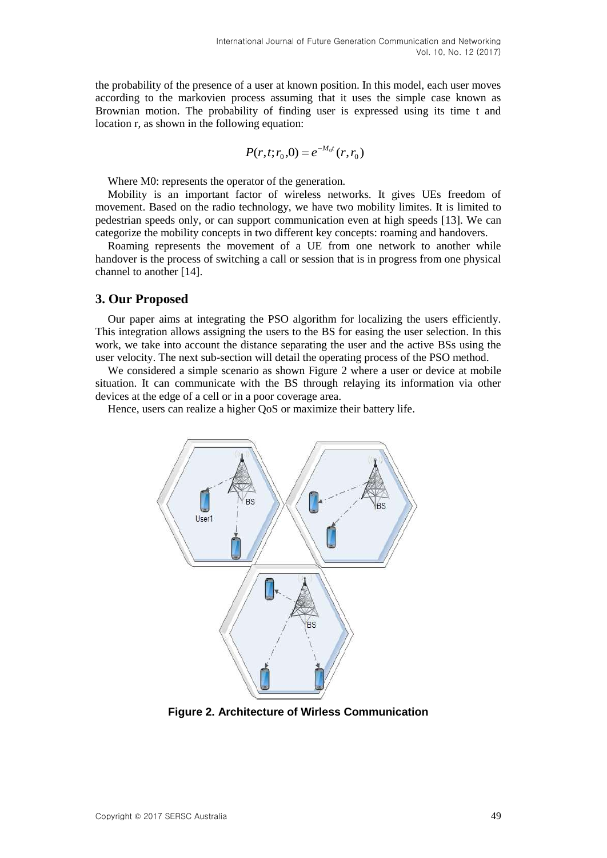the probability of the presence of a user at known position. In this model, each user moves according to the markovien process assuming that it uses the simple case known as Brownian motion. The probability of finding user is expressed using its time t and location r, as shown in the following equation:

$$
P(r,t;r_0,0) = e^{-M_0t}(r,r_0)
$$

Where M0: represents the operator of the generation.

Mobility is an important factor of wireless networks. It gives UEs freedom of movement. Based on the radio technology, we have two mobility limites. It is limited to pedestrian speeds only, or can support communication even at high speeds [13]. We can categorize the mobility concepts in two different key concepts: roaming and handovers.

Roaming represents the movement of a UE from one network to another while handover is the process of switching a call or session that is in progress from one physical channel to another [14].

### **3. Our Proposed**

Our paper aims at integrating the PSO algorithm for localizing the users efficiently. This integration allows assigning the users to the BS for easing the user selection. In this work, we take into account the distance separating the user and the active BSs using the user velocity. The next sub-section will detail the operating process of the PSO method.

We considered a simple scenario as shown Figure 2 where a user or device at mobile situation. It can communicate with the BS through relaying its information via other devices at the edge of a cell or in a poor coverage area.

Hence, users can realize a higher QoS or maximize their battery life.



**Figure 2. Architecture of Wirless Communication**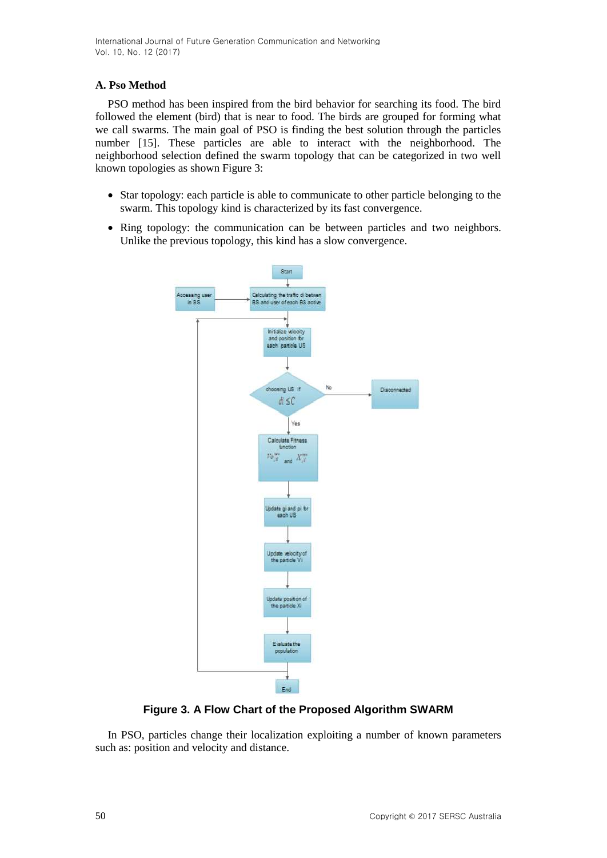### **A. Pso Method**

PSO method has been inspired from the bird behavior for searching its food. The bird followed the element (bird) that is near to food. The birds are grouped for forming what we call swarms. The main goal of PSO is finding the best solution through the particles number [15]. These particles are able to interact with the neighborhood. The neighborhood selection defined the swarm topology that can be categorized in two well known topologies as shown Figure 3:

- Star topology: each particle is able to communicate to other particle belonging to the swarm. This topology kind is characterized by its fast convergence.
- Ring topology: the communication can be between particles and two neighbors. Unlike the previous topology, this kind has a slow convergence.



**Figure 3. A Flow Chart of the Proposed Algorithm SWARM**

In PSO, particles change their localization exploiting a number of known parameters such as: position and velocity and distance.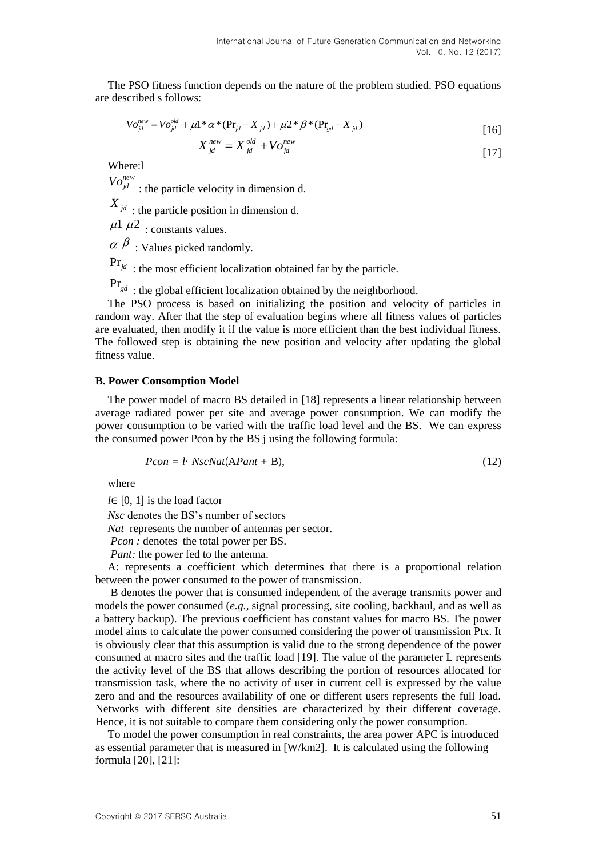The PSO fitness function depends on the nature of the problem studied. PSO equations are described s follows:

$$
V o_{jd}^{new} = V o_{jd}^{old} + \mu 1 * \alpha * (Pr_{jd} - X_{jd}) + \mu 2 * \beta * (Pr_{gd} - X_{jd})
$$
\n[16]

$$
X_{\scriptscriptstyle id}^{\scriptscriptstyle new} = X_{\scriptscriptstyle id}^{\scriptscriptstyle old} + V_o^{\scriptscriptstyle new}_{\scriptscriptstyle id} \tag{17}
$$

Where:l

 $Vo_{jd}^{new}$ : the particle velocity in dimension d.

 $X_{jd}$ : the particle position in dimension d.

 $\mu$ 1  $\mu$ 2 : constants values.

 $\alpha \beta$ : Values picked randomly.

 $Pr_{jd}$ : the most efficient localization obtained far by the particle.

Pr*gd* : the global efficient localization obtained by the neighborhood.

The PSO process is based on initializing the position and velocity of particles in random way. After that the step of evaluation begins where all fitness values of particles are evaluated, then modify it if the value is more efficient than the best individual fitness. The followed step is obtaining the new position and velocity after updating the global fitness value.

#### **B. Power Consomption Model**

The power model of macro BS detailed in [18] represents a linear relationship between average radiated power per site and average power consumption. We can modify the power consumption to be varied with the traffic load level and the BS. We can express the consumed power Pcon by the BS j using the following formula:

$$
Pcon = l \cdot NscNat(\text{APant} + \text{B}),\tag{12}
$$

where

*l*∈ [0, 1] is the load factor

*Nsc* denotes the BS's number of sectors

*Nat* represents the number of antennas per sector.

*Pcon :* denotes the total power per BS.

*Pant:* the power fed to the antenna.

A: represents a coefficient which determines that there is a proportional relation between the power consumed to the power of transmission.

B denotes the power that is consumed independent of the average transmits power and models the power consumed (*e.g.,* signal processing, site cooling, backhaul, and as well as a battery backup). The previous coefficient has constant values for macro BS. The power model aims to calculate the power consumed considering the power of transmission Ptx. It is obviously clear that this assumption is valid due to the strong dependence of the power consumed at macro sites and the traffic load [19]. The value of the parameter L represents the activity level of the BS that allows describing the portion of resources allocated for transmission task, where the no activity of user in current cell is expressed by the value zero and and the resources availability of one or different users represents the full load. Networks with different site densities are characterized by their different coverage. Hence, it is not suitable to compare them considering only the power consumption.

To model the power consumption in real constraints, the area power APC is introduced as essential parameter that is measured in [W/km2]. It is calculated using the following formula [20], [21]: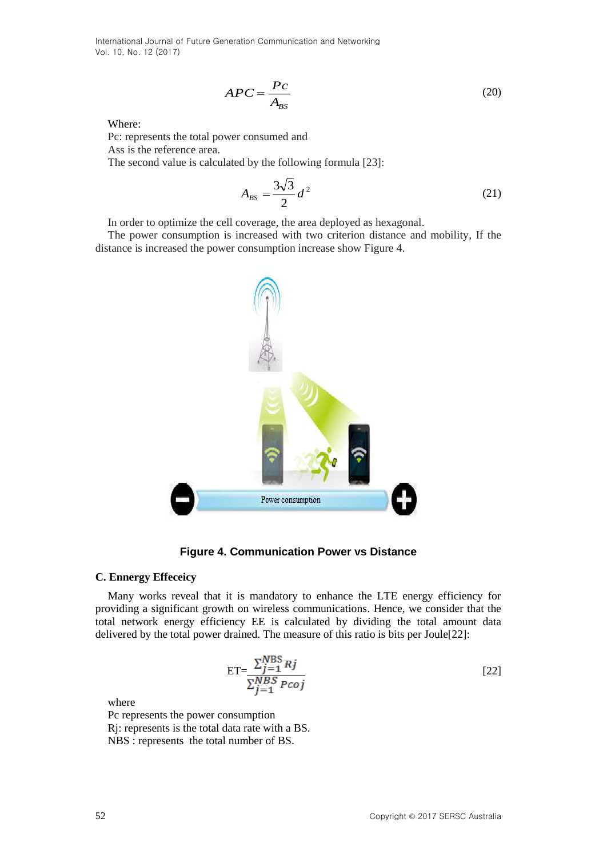$$
APC = \frac{Pc}{A_{BS}}\tag{20}
$$

Where:

Pc: represents the total power consumed and Ass is the reference area.

The second value is calculated by the following formula [23]:

$$
A_{BS} = \frac{3\sqrt{3}}{2} d^2
$$
 (21)

In order to optimize the cell coverage, the area deployed as hexagonal.

The power consumption is increased with two criterion distance and mobility, If the distance is increased the power consumption increase show Figure 4.



**Figure 4. Communication Power vs Distance**

#### **C. Ennergy Effeceicy**

Many works reveal that it is mandatory to enhance the LTE energy efficiency for providing a significant growth on wireless communications. Hence, we consider that the total network energy efficiency EE is calculated by dividing the total amount data delivered by the total power drained. The measure of this ratio is bits per Joule[22]:

$$
ET = \frac{\sum_{j=1}^{NBS} Rj}{\sum_{j=1}^{NBS} Pcoj}
$$
 [22]

where

Pc represents the power consumption Rj: represents is the total data rate with a BS. NBS : represents the total number of BS.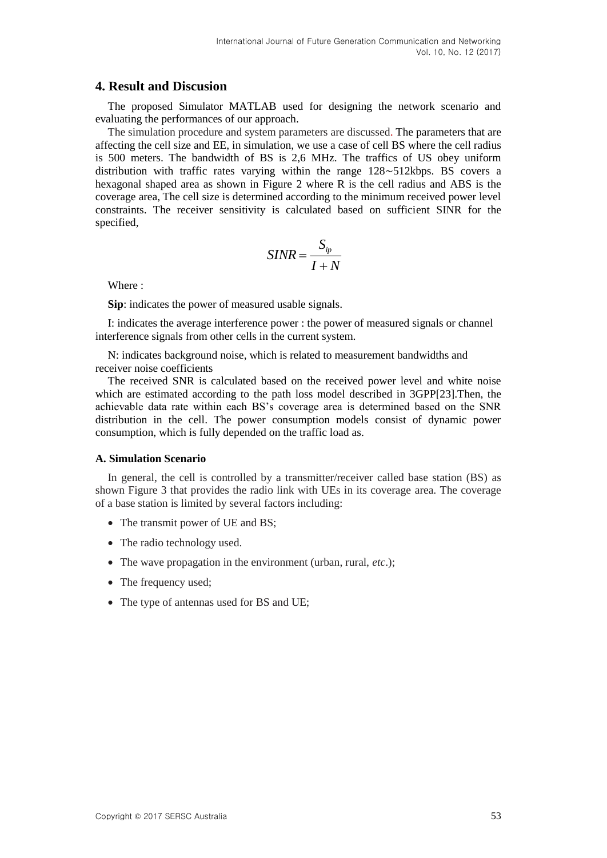### **4. Result and Discusion**

The proposed Simulator MATLAB used for designing the network scenario and evaluating the performances of our approach.

The simulation procedure and system parameters are discussed. The parameters that are affecting the cell size and EE, in simulation, we use a case of cell BS where the cell radius is 500 meters. The bandwidth of BS is 2,6 MHz. The traffics of US obey uniform distribution with traffic rates varying within the range 128∼512kbps. BS covers a hexagonal shaped area as shown in Figure 2 where R is the cell radius and ABS is the coverage area, The cell size is determined according to the minimum received power level constraints. The receiver sensitivity is calculated based on sufficient SINR for the specified,

$$
SINR = \frac{S_{ip}}{I+N}
$$

Where :

**Sip**: indicates the power of measured usable signals.

I: indicates the average interference power : the power of measured signals or channel interference signals from other cells in the current system.

N: indicates background noise, which is related to measurement bandwidths and receiver noise coefficients

The received SNR is calculated based on the received power level and white noise which are estimated according to the path loss model described in 3GPP[23].Then, the achievable data rate within each BS's coverage area is determined based on the SNR distribution in the cell. The power consumption models consist of dynamic power consumption, which is fully depended on the traffic load as.

#### **A. Simulation Scenario**

In general, the cell is controlled by a transmitter/receiver called base station (BS) as shown Figure 3 that provides the radio link with UEs in its coverage area. The coverage of a base station is limited by several factors including:

- The transmit power of UE and BS;
- The radio technology used.
- The wave propagation in the environment (urban, rural, *etc*.);
- The frequency used;
- The type of antennas used for BS and UE;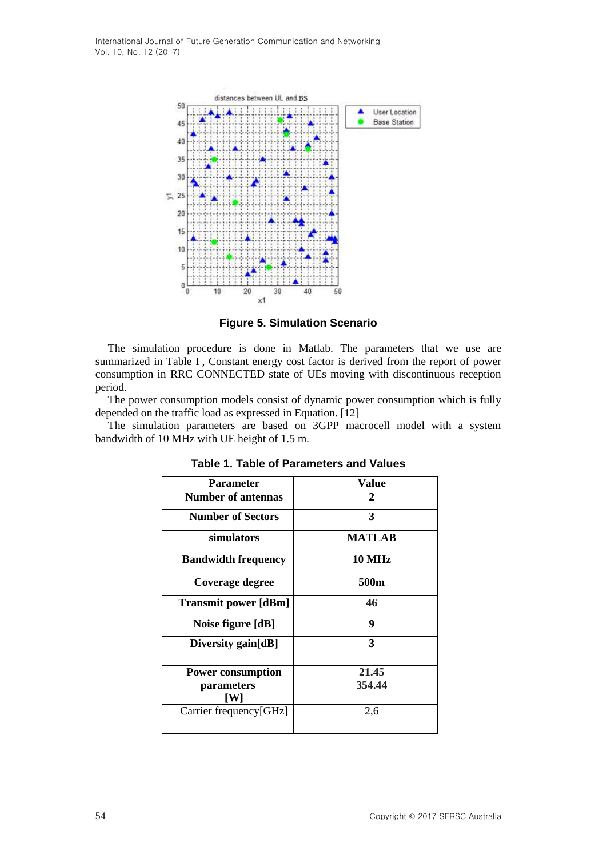

**Figure 5. Simulation Scenario**

The simulation procedure is done in Matlab. The parameters that we use are summarized in Table I , Constant energy cost factor is derived from the report of power consumption in RRC CONNECTED state of UEs moving with discontinuous reception period.

The power consumption models consist of dynamic power consumption which is fully depended on the traffic load as expressed in Equation. [12]

The simulation parameters are based on 3GPP macrocell model with a system bandwidth of 10 MHz with UE height of 1.5 m.

| <b>Parameter</b>            | Value         |
|-----------------------------|---------------|
| <b>Number of antennas</b>   | 2             |
| <b>Number of Sectors</b>    | 3             |
| simulators                  | MATLAB        |
| <b>Bandwidth frequency</b>  | <b>10 MHz</b> |
| Coverage degree             | 500m          |
| <b>Transmit power [dBm]</b> | 46            |
| Noise figure [dB]           | 9             |
| Diversity gain[dB]          | 3             |
| <b>Power consumption</b>    | 21.45         |
|                             | 354.44        |
| <i>parameters</i><br>IW I   |               |
| Carrier frequency[GHz]      | 2,6           |

**Table 1. Table of Parameters and Values**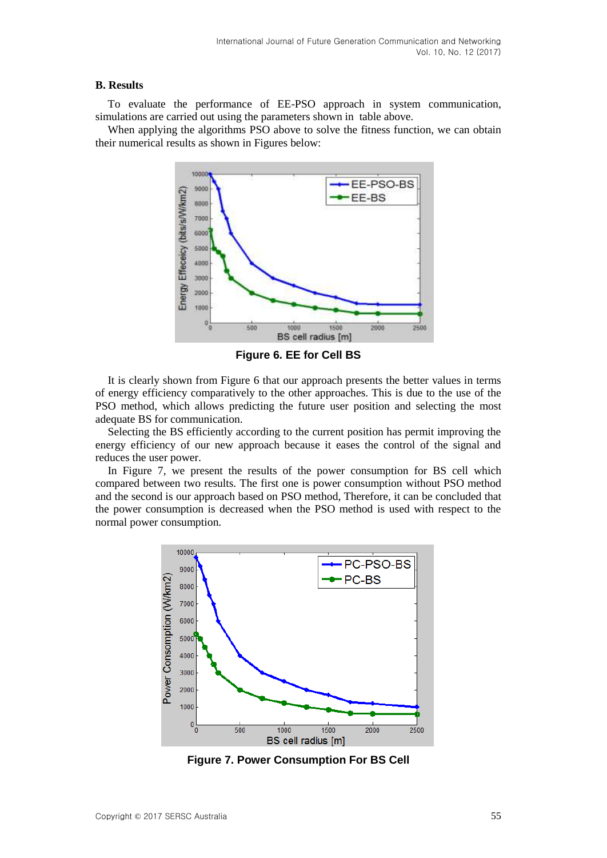#### **B. Results**

To evaluate the performance of EE-PSO approach in system communication, simulations are carried out using the parameters shown in table above.

When applying the algorithms PSO above to solve the fitness function, we can obtain their numerical results as shown in Figures below:



**Figure 6. EE for Cell BS**

It is clearly shown from Figure 6 that our approach presents the better values in terms of energy efficiency comparatively to the other approaches. This is due to the use of the PSO method, which allows predicting the future user position and selecting the most adequate BS for communication.

Selecting the BS efficiently according to the current position has permit improving the energy efficiency of our new approach because it eases the control of the signal and reduces the user power.

In Figure 7, we present the results of the power consumption for BS cell which compared between two results. The first one is power consumption without PSO method and the second is our approach based on PSO method, Therefore, it can be concluded that the power consumption is decreased when the PSO method is used with respect to the normal power consumption.



**Figure 7. Power Consumption For BS Cell**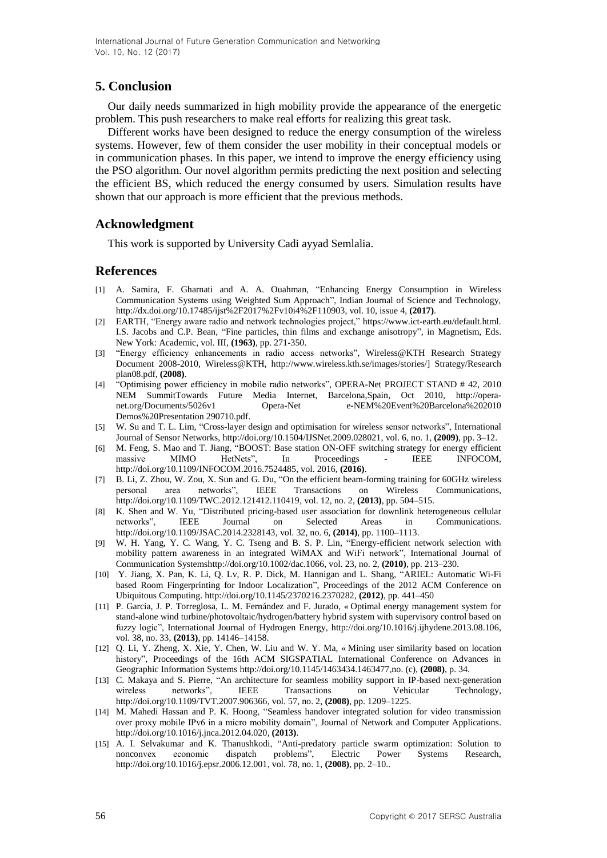# **5. Conclusion**

Our daily needs summarized in high mobility provide the appearance of the energetic problem. This push researchers to make real efforts for realizing this great task.

Different works have been designed to reduce the energy consumption of the wireless systems. However, few of them consider the user mobility in their conceptual models or in communication phases. In this paper, we intend to improve the energy efficiency using the PSO algorithm. Our novel algorithm permits predicting the next position and selecting the efficient BS, which reduced the energy consumed by users. Simulation results have shown that our approach is more efficient that the previous methods.

## **Acknowledgment**

This work is supported by University Cadi ayyad Semlalia.

### **References**

- [1] A. Samira, F. Gharnati and A. A. Ouahman, "Enhancing Energy Consumption in Wireless Communication Systems using Weighted Sum Approach", Indian Journal of Science and Technology, http://dx.doi.org/10.17485/ijst%2F2017%2Fv10i4%2F110903, vol. 10, issue 4, **(2017)**.
- [2] EARTH, "Energy aware radio and network technologies project," https://www.ict-earth.eu/default.html. I.S. Jacobs and C.P. Bean, "Fine particles, thin films and exchange anisotropy", in Magnetism, Eds. New York: Academic, vol. III, **(1963)**, pp. 271-350.
- [3] "Energy efficiency enhancements in radio access networks", Wireless@KTH Research Strategy Document 2008-2010, Wireless@KTH, [http://www.wireless.kth.se/images/stories/\]](http://www.wireless.kth.se/images/stories/) Strategy/Research plan08.pdf, **(2008)**.
- [4] "Optimising power efficiency in mobile radio networks", OPERA-Net PROJECT STAND # 42, 2010 NEM SummitTowards Future Media Internet, Barcelona,Spain, Oct 2010, http://operanet.org/Documents/5026v1 Opera-Net e-NEM%20Event%20Barcelona%202010 Demos%20Presentation 290710.pdf.
- [5] W. Su and T. L. Lim, "Cross-layer design and optimisation for wireless sensor networks", International Journal of Sensor Networks, [http://doi.org/10.1504/IJSNet.2009.028021,](http://doi.org/10.1504/IJSNet.2009.028021) vol. 6, no. 1, **(2009)**, pp. 3–12.
- [6] M. Feng, S. Mao and T. Jiang, "BOOST: Base station ON-OFF switching strategy for energy efficient massive MIMO HetNets", In Proceedings - IEEE INFOCOM, http://doi.org/10.1109/INFOCOM.2016.7524485, vol. 2016, **(2016)**.
- [7] B. Li, Z. Zhou, W. Zou, X. Sun and G. Du, "On the efficient beam-forming training for 60GHz wireless personal area networks", IEEE Transactions on Wireless Communications, [http://doi.org/10.1109/TWC.2012.121412.110419,](http://doi.org/10.1109/TWC.2012.121412.110419) vol. 12, no. 2, **(2013)**, pp. 504–515.
- [8] K. Shen and W. Yu, "Distributed pricing-based user association for downlink heterogeneous cellular networks", IEEE Journal on Selected Areas in Communications. http://doi.org/10.1109/JSAC.2014.2328143, vol. 32, no. 6, **(2014)**, pp. 1100–1113.
- [9] W. H. Yang, Y. C. Wang, Y. C. Tseng and B. S. P. Lin, "Energy-efficient network selection with mobility pattern awareness in an integrated WiMAX and WiFi network", International Journal of Communication Systemshttp://doi.org/10.1002/dac.1066, vol. 23, no. 2, **(2010)**, pp. 213–230.
- [10] Y. Jiang, X. Pan, K. Li, Q. Lv, R. P. Dick, M. Hannigan and L. Shang, "ARIEL: Automatic Wi-Fi based Room Fingerprinting for Indoor Localization", Proceedings of the 2012 ACM Conference on Ubiquitous Computing. http://doi.org/10.1145/2370216.2370282, **(2012)**, pp. 441–450
- [11] P. García, J. P. Torreglosa, L. M. Fernández and F. Jurado, « Optimal energy management system for stand-alone wind turbine/photovoltaic/hydrogen/battery hybrid system with supervisory control based on fuzzy logic", International Journal of Hydrogen Energy, http://doi.org/10.1016/j.ijhydene.2013.08.106, vol. 38, no. 33, **(2013)**, pp. 14146–14158.
- [12] Q. Li, Y. Zheng, X. Xie, Y. Chen, W. Liu and W. Y. Ma, « Mining user similarity based on location history", Proceedings of the 16th ACM SIGSPATIAL International Conference on Advances in Geographic Information Systems [http://doi.org/10.1145/1463434.1463477,](http://doi.org/10.1145/1463434.1463477)no. (c), **(2008)**, p. 34.
- [13] C. Makaya and S. Pierre, "An architecture for seamless mobility support in IP-based next-generation wireless networks", IEEE Transactions on Vehicular Technology, http://doi.org/10.1109/TVT.2007.906366, vol. 57, no. 2, **(2008)**, pp. 1209–1225.
- [14] M. Mahedi Hassan and P. K. Hoong, "Seamless handover integrated solution for video transmission over proxy mobile IPv6 in a micro mobility domain", Journal of Network and Computer Applications. http://doi.org/10.1016/j.jnca.2012.04.020, **(2013)**.
- [15] A. I. Selvakumar and K. Thanushkodi, "Anti-predatory particle swarm optimization: Solution to nonconvex economic dispatch problems", Electric Power Systems Research, http://doi.org/10.1016/j.epsr.2006.12.001, vol. 78, no. 1, **(2008)**, pp. 2–10..